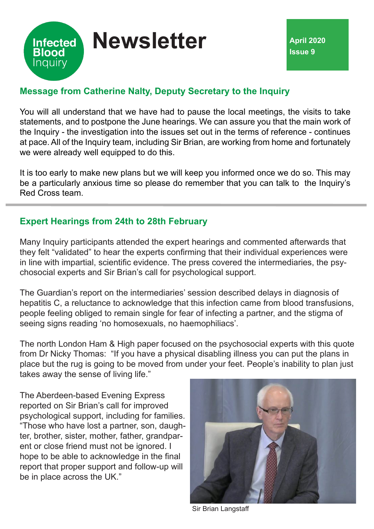

# **Message from Catherine Nalty, Deputy Secretary to the Inquiry**

You will all understand that we have had to pause the local meetings, the visits to take statements, and to postpone the June hearings. We can assure you that the main work of the Inquiry - the investigation into the issues set out in the terms of reference - continues at pace. All of the Inquiry team, including Sir Brian, are working from home and fortunately we were already well equipped to do this.

It is too early to make new plans but we will keep you informed once we do so. This may be a particularly anxious time so please do remember that you can talk to the Inquiry's Red Cross team.

## **Expert Hearings from 24th to 28th February**

Many Inquiry participants attended the expert hearings and commented afterwards that they felt "validated" to hear the experts confirming that their individual experiences were in line with impartial, scientific evidence. The press covered the intermediaries, the psychosocial experts and Sir Brian's call for psychological support.

The Guardian's report on the intermediaries' session described delays in diagnosis of hepatitis C, a reluctance to acknowledge that this infection came from blood transfusions, people feeling obliged to remain single for fear of infecting a partner, and the stigma of seeing signs reading 'no homosexuals, no haemophiliacs'.

The north London Ham & High paper focused on the psychosocial experts with this quote from Dr Nicky Thomas: "If you have a physical disabling illness you can put the plans in place but the rug is going to be moved from under your feet. People's inability to plan just takes away the sense of living life."

The Aberdeen-based Evening Express reported on Sir Brian's call for improved psychological support, including for families. "Those who have lost a partner, son, daughter, brother, sister, mother, father, grandparent or close friend must not be ignored. I hope to be able to acknowledge in the final report that proper support and follow-up will be in place across the UK."



Sir Brian Langstaff